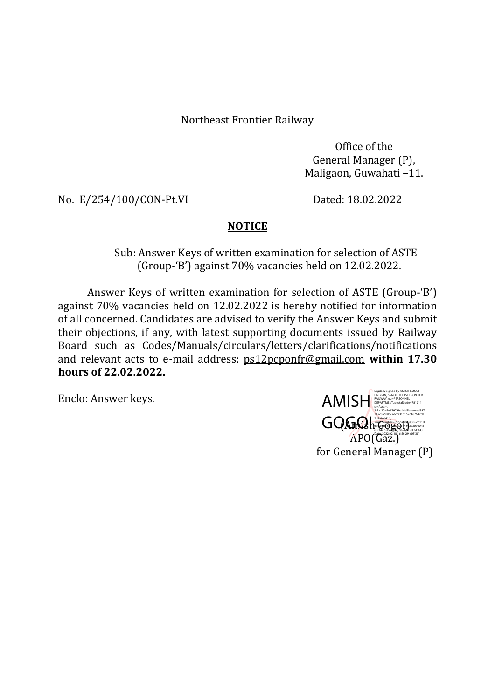Northeast Frontier Railway

Office of the General Manager (P), Maligaon, Guwahati –11.

No. E/254/100/CON-Pt.VI Dated: 18.02.2022

## **NOTICE**

 Sub: Answer Keys of written examination for selection of ASTE (Group-'B') against 70% vacancies held on 12.02.2022.

Answer Keys of written examination for selection of ASTE (Group-'B') against 70% vacancies held on 12.02.2022 is hereby notified for information of all concerned. Candidates are advised to verify the Answer Keys and submit their objections, if any, with latest supporting documents issued by Railway Board such as Codes/Manuals/circulars/letters/clarifications/notifications and relevant acts to e-mail address: ps12pcponfr@gmail.com within 17.30 hours of 22.02.2022.

Enclo: Answer keys.

**GOGO** APO(Gaz.) for General Manager (P) AMISH SEARTMENT, PORTH EAST FRONTIER Digitally signed by AMISH GOGOI 2.5.4.20=7e67979ba46d5bceeced587